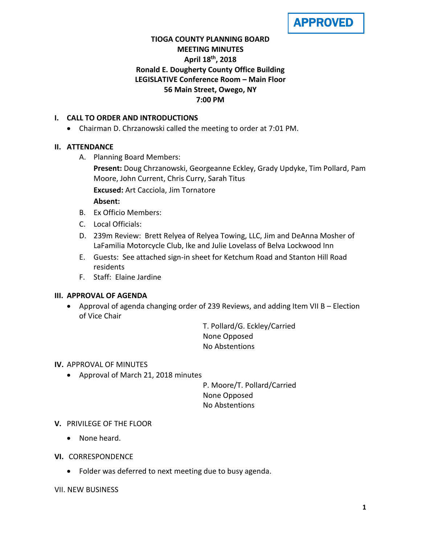APPROVED

# **TIOGA COUNTY PLANNING BOARD MEETING MINUTES April 18 th, 2018 Ronald E. Dougherty County Office Building LEGISLATIVE Conference Room – Main Floor 56 Main Street, Owego, NY 7:00 PM**

## **I. CALL TO ORDER AND INTRODUCTIONS**

Chairman D. Chrzanowski called the meeting to order at 7:01 PM.

# **II. ATTENDANCE**

A. Planning Board Members:

**Present:** Doug Chrzanowski, Georgeanne Eckley, Grady Updyke, Tim Pollard, Pam Moore, John Current, Chris Curry, Sarah Titus

**Excused:** Art Cacciola, Jim Tornatore

## **Absent:**

- B. Ex Officio Members:
- C. Local Officials:
- D. 239m Review: Brett Relyea of Relyea Towing, LLC, Jim and DeAnna Mosher of LaFamilia Motorcycle Club, Ike and Julie Lovelass of Belva Lockwood Inn
- E. Guests: See attached sign-in sheet for Ketchum Road and Stanton Hill Road residents
- F. Staff: Elaine Jardine

## **III. APPROVAL OF AGENDA**

 Approval of agenda changing order of 239 Reviews, and adding Item VII B – Election of Vice Chair

> T. Pollard/G. Eckley/Carried None Opposed No Abstentions

**IV.** APPROVAL OF MINUTES

Approval of March 21, 2018 minutes

P. Moore/T. Pollard/Carried None Opposed No Abstentions

- **V.** PRIVILEGE OF THE FLOOR
	- None heard.
- **VI.** CORRESPONDENCE
	- Folder was deferred to next meeting due to busy agenda.

VII. NEW BUSINESS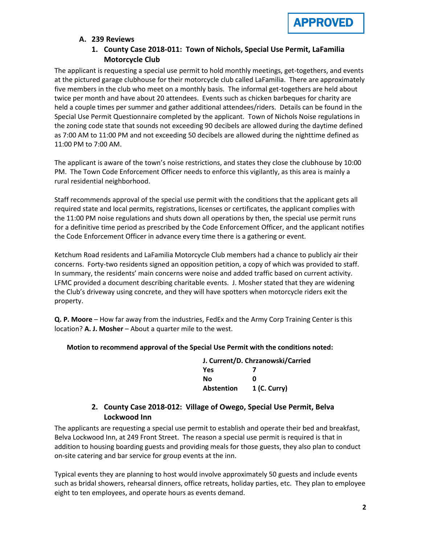

### **A. 239 Reviews**

# **1. County Case 2018-011: Town of Nichols, Special Use Permit, LaFamilia Motorcycle Club**

The applicant is requesting a special use permit to hold monthly meetings, get-togethers, and events at the pictured garage clubhouse for their motorcycle club called LaFamilia. There are approximately five members in the club who meet on a monthly basis. The informal get-togethers are held about twice per month and have about 20 attendees. Events such as chicken barbeques for charity are held a couple times per summer and gather additional attendees/riders. Details can be found in the Special Use Permit Questionnaire completed by the applicant. Town of Nichols Noise regulations in the zoning code state that sounds not exceeding 90 decibels are allowed during the daytime defined as 7:00 AM to 11:00 PM and not exceeding 50 decibels are allowed during the nighttime defined as 11:00 PM to 7:00 AM.

The applicant is aware of the town's noise restrictions, and states they close the clubhouse by 10:00 PM. The Town Code Enforcement Officer needs to enforce this vigilantly, as this area is mainly a rural residential neighborhood.

Staff recommends approval of the special use permit with the conditions that the applicant gets all required state and local permits, registrations, licenses or certificates, the applicant complies with the 11:00 PM noise regulations and shuts down all operations by then, the special use permit runs for a definitive time period as prescribed by the Code Enforcement Officer, and the applicant notifies the Code Enforcement Officer in advance every time there is a gathering or event.

Ketchum Road residents and LaFamilia Motorcycle Club members had a chance to publicly air their concerns. Forty-two residents signed an opposition petition, a copy of which was provided to staff. In summary, the residents' main concerns were noise and added traffic based on current activity. LFMC provided a document describing charitable events. J. Mosher stated that they are widening the Club's driveway using concrete, and they will have spotters when motorcycle riders exit the property.

**Q. P. Moore** – How far away from the industries, FedEx and the Army Corp Training Center is this location? **A. J. Mosher** – About a quarter mile to the west.

#### **Motion to recommend approval of the Special Use Permit with the conditions noted:**

| J. Current/D. Chrzanowski/Carried |                |  |
|-----------------------------------|----------------|--|
| Yes                               |                |  |
| Nο                                | Ω              |  |
| <b>Abstention</b>                 | $1$ (C. Curry) |  |

# **2. County Case 2018-012: Village of Owego, Special Use Permit, Belva Lockwood Inn**

The applicants are requesting a special use permit to establish and operate their bed and breakfast, Belva Lockwood Inn, at 249 Front Street. The reason a special use permit is required is that in addition to housing boarding guests and providing meals for those guests, they also plan to conduct on-site catering and bar service for group events at the inn.

Typical events they are planning to host would involve approximately 50 guests and include events such as bridal showers, rehearsal dinners, office retreats, holiday parties, etc. They plan to employee eight to ten employees, and operate hours as events demand.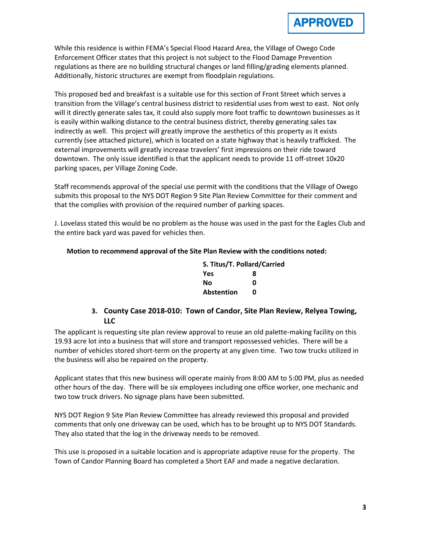While this residence is within FEMA's Special Flood Hazard Area, the Village of Owego Code Enforcement Officer states that this project is not subject to the Flood Damage Prevention regulations as there are no building structural changes or land filling/grading elements planned. Additionally, historic structures are exempt from floodplain regulations.

This proposed bed and breakfast is a suitable use for this section of Front Street which serves a transition from the Village's central business district to residential uses from west to east. Not only will it directly generate sales tax, it could also supply more foot traffic to downtown businesses as it is easily within walking distance to the central business district, thereby generating sales tax indirectly as well. This project will greatly improve the aesthetics of this property as it exists currently (see attached picture), which is located on a state highway that is heavily trafficked. The external improvements will greatly increase travelers' first impressions on their ride toward downtown. The only issue identified is that the applicant needs to provide 11 off-street 10x20 parking spaces, per Village Zoning Code.

Staff recommends approval of the special use permit with the conditions that the Village of Owego submits this proposal to the NYS DOT Region 9 Site Plan Review Committee for their comment and that the complies with provision of the required number of parking spaces.

J. Lovelass stated this would be no problem as the house was used in the past for the Eagles Club and the entire back yard was paved for vehicles then.

### **Motion to recommend approval of the Site Plan Review with the conditions noted:**

| S. Titus/T. Pollard/Carried |   |
|-----------------------------|---|
| <b>Yes</b>                  | 8 |
| Nο                          | n |
| <b>Abstention</b>           | n |

# **3. County Case 2018-010: Town of Candor, Site Plan Review, Relyea Towing, LLC**

The applicant is requesting site plan review approval to reuse an old palette-making facility on this 19.93 acre lot into a business that will store and transport repossessed vehicles. There will be a number of vehicles stored short-term on the property at any given time. Two tow trucks utilized in the business will also be repaired on the property.

Applicant states that this new business will operate mainly from 8:00 AM to 5:00 PM, plus as needed other hours of the day. There will be six employees including one office worker, one mechanic and two tow truck drivers. No signage plans have been submitted.

NYS DOT Region 9 Site Plan Review Committee has already reviewed this proposal and provided comments that only one driveway can be used, which has to be brought up to NYS DOT Standards. They also stated that the log in the driveway needs to be removed.

This use is proposed in a suitable location and is appropriate adaptive reuse for the property. The Town of Candor Planning Board has completed a Short EAF and made a negative declaration.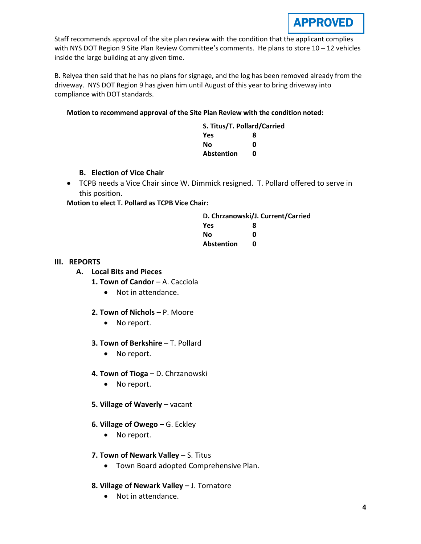

Staff recommends approval of the site plan review with the condition that the applicant complies with NYS DOT Region 9 Site Plan Review Committee's comments. He plans to store 10 - 12 vehicles inside the large building at any given time.

B. Relyea then said that he has no plans for signage, and the log has been removed already from the driveway. NYS DOT Region 9 has given him until August of this year to bring driveway into compliance with DOT standards.

#### **Motion to recommend approval of the Site Plan Review with the condition noted:**

| S. Titus/T. Pollard/Carried |   |
|-----------------------------|---|
| Yes                         | 8 |
| Νo                          | ი |
| <b>Abstention</b>           | n |

#### **B. Election of Vice Chair**

 TCPB needs a Vice Chair since W. Dimmick resigned. T. Pollard offered to serve in this position.

**Motion to elect T. Pollard as TCPB Vice Chair:**

|                   | D. Chrzanowski/J. Current/Carried |
|-------------------|-----------------------------------|
| Yes               | 8                                 |
| Nο                | ŋ                                 |
| <b>Abstention</b> | n                                 |

#### **III. REPORTS**

### **A. Local Bits and Pieces**

- **1. Town of Candor**  A. Cacciola
	- Not in attendance.

#### **2. Town of Nichols** – P. Moore

- No report.
- **3. Town of Berkshire**  T. Pollard
	- No report.
- **4. Town of Tioga –** D. Chrzanowski
	- No report.
- **5. Village of Waverly** vacant
- **6. Village of Owego** G. Eckley
	- No report.
- **7. Town of Newark Valley** S. Titus
	- Town Board adopted Comprehensive Plan.
- **8. Village of Newark Valley –** J. Tornatore
	- Not in attendance.